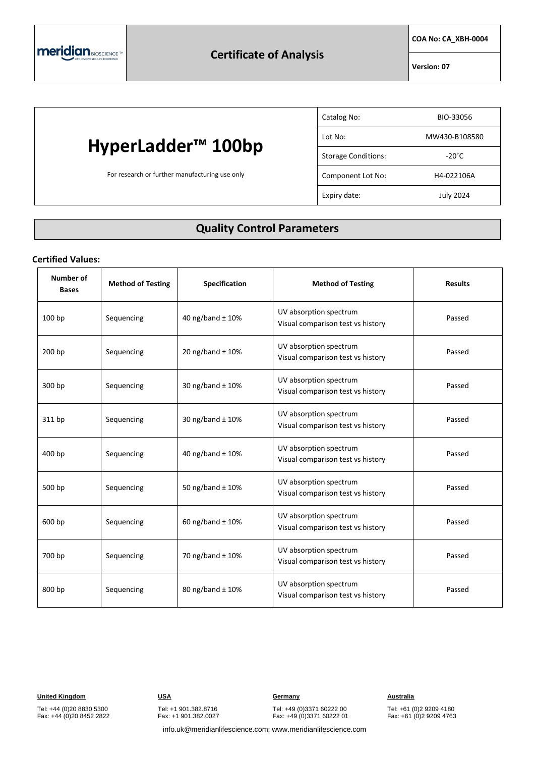**COA No: CA\_XBH-0004**

**Version: 07**

## **HyperLadder™ 100bp**

For research or further manufacturing use only

| Catalog No:                | BIO-33056       |
|----------------------------|-----------------|
| Lot No:                    | MW430-B108580   |
| <b>Storage Conditions:</b> | $-20^{\circ}$ C |
| Component Lot No:          | H4-022106A      |
| Expiry date:               | July 2024       |

### **Quality Control Parameters**

#### **Certified Values:**

| Number of<br><b>Bases</b> | <b>Method of Testing</b> | <b>Specification</b> | <b>Method of Testing</b>                                    | <b>Results</b> |
|---------------------------|--------------------------|----------------------|-------------------------------------------------------------|----------------|
| 100 bp                    | Sequencing               | 40 ng/band ± 10%     | UV absorption spectrum<br>Visual comparison test vs history | Passed         |
| 200 bp                    | Sequencing               | 20 ng/band ± 10%     | UV absorption spectrum<br>Visual comparison test vs history | Passed         |
| 300 bp                    | Sequencing               | 30 ng/band ± 10%     | UV absorption spectrum<br>Visual comparison test vs history | Passed         |
| 311 bp                    | Sequencing               | 30 ng/band ± 10%     | UV absorption spectrum<br>Visual comparison test vs history | Passed         |
| 400 bp                    | Sequencing               | 40 ng/band ± 10%     | UV absorption spectrum<br>Visual comparison test vs history | Passed         |
| 500 bp                    | Sequencing               | 50 ng/band ± 10%     | UV absorption spectrum<br>Visual comparison test vs history | Passed         |
| 600 bp                    | Sequencing               | 60 ng/band $\pm$ 10% | UV absorption spectrum<br>Visual comparison test vs history | Passed         |
| 700 bp                    | Sequencing               | 70 ng/band ± 10%     | UV absorption spectrum<br>Visual comparison test vs history | Passed         |
| 800 bp                    | Sequencing               | 80 ng/band ± 10%     | UV absorption spectrum<br>Visual comparison test vs history | Passed         |

Tel: +44 (0)20 8830 5300 Fax: +44 (0)20 8452 2822 Tel: +1 901.382.8716 Fax: +1 901.382.0027

**United Kingdom USA Germany Australia**

Tel: +49 (0)3371 60222 00 Fax: +49 (0)3371 60222 01

Tel: +61 (0)2 9209 4180 Fax: +61 (0)2 9209 4763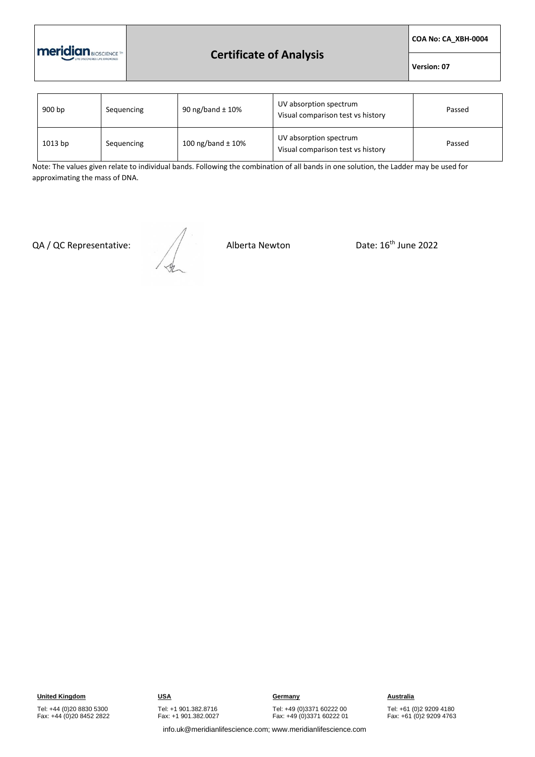

#### **Certificate of Analysis**

**COA No: CA\_XBH-0004**

**Version: 07**

| 900 bp  | Sequencing | 90 ng/band $\pm$ 10%  | UV absorption spectrum<br>Visual comparison test vs history | Passed |
|---------|------------|-----------------------|-------------------------------------------------------------|--------|
| 1013 bp | Sequencing | 100 ng/band $\pm$ 10% | UV absorption spectrum<br>Visual comparison test vs history | Passed |

Note: The values given relate to individual bands. Following the combination of all bands in one solution, the Ladder may be used for approximating the mass of DNA.

QA / QC Representative:  $\sqrt{2}$  Alberta Newton Date: 16<sup>th</sup> June 2022

**United Kingdom USA Germany Australia**

Tel: +44 (0)20 8830 5300 Fax: +44 (0)20 8452 2822 Tel: +1 901.382.8716 Fax: +1 901.382.0027

Tel: +49 (0)3371 60222 00 Fax: +49 (0)3371 60222 01

Tel: +61 (0)2 9209 4180 Fax: +61 (0)2 9209 4763